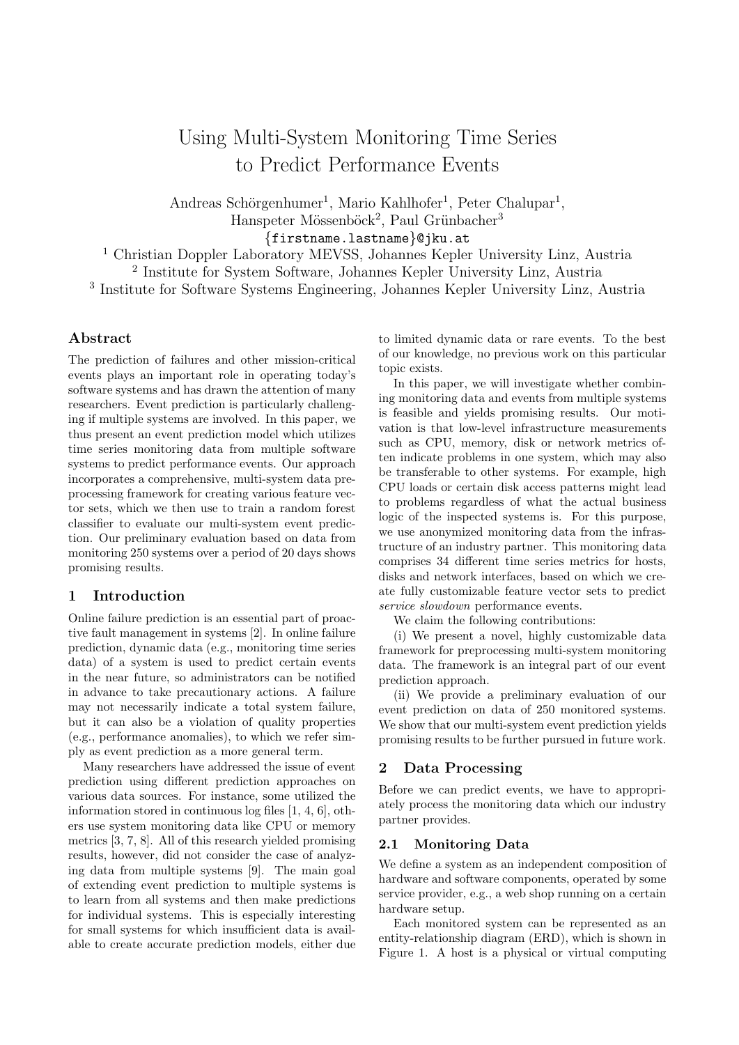# Using Multi-System Monitoring Time Series to Predict Performance Events

Andreas Schörgenhumer<sup>1</sup>, Mario Kahlhofer<sup>1</sup>, Peter Chalupar<sup>1</sup>, Hanspeter Mössenböck<sup>2</sup>, Paul Grünbacher<sup>3</sup>

{firstname.lastname}@jku.at

<sup>1</sup> Christian Doppler Laboratory MEVSS, Johannes Kepler University Linz, Austria 2 Institute for System Software, Johannes Kepler University Linz, Austria 3 Institute for Software Systems Engineering, Johannes Kepler University Linz, Austria

## Abstract

The prediction of failures and other mission-critical events plays an important role in operating today's software systems and has drawn the attention of many researchers. Event prediction is particularly challenging if multiple systems are involved. In this paper, we thus present an event prediction model which utilizes time series monitoring data from multiple software systems to predict performance events. Our approach incorporates a comprehensive, multi-system data preprocessing framework for creating various feature vector sets, which we then use to train a random forest classifier to evaluate our multi-system event prediction. Our preliminary evaluation based on data from monitoring 250 systems over a period of 20 days shows promising results.

## 1 Introduction

Online failure prediction is an essential part of proactive fault management in systems [\[2\]](#page-2-0). In online failure prediction, dynamic data (e.g., monitoring time series data) of a system is used to predict certain events in the near future, so administrators can be notified in advance to take precautionary actions. A failure may not necessarily indicate a total system failure, but it can also be a violation of quality properties (e.g., performance anomalies), to which we refer simply as event prediction as a more general term.

Many researchers have addressed the issue of event prediction using different prediction approaches on various data sources. For instance, some utilized the information stored in continuous log files [\[1,](#page-2-1) [4,](#page-2-2) [6\]](#page-2-3), others use system monitoring data like CPU or memory metrics [\[3,](#page-2-4) [7,](#page-2-5) [8\]](#page-2-6). All of this research yielded promising results, however, did not consider the case of analyzing data from multiple systems [\[9\]](#page-2-7). The main goal of extending event prediction to multiple systems is to learn from all systems and then make predictions for individual systems. This is especially interesting for small systems for which insufficient data is available to create accurate prediction models, either due to limited dynamic data or rare events. To the best of our knowledge, no previous work on this particular topic exists.

In this paper, we will investigate whether combining monitoring data and events from multiple systems is feasible and yields promising results. Our motivation is that low-level infrastructure measurements such as CPU, memory, disk or network metrics often indicate problems in one system, which may also be transferable to other systems. For example, high CPU loads or certain disk access patterns might lead to problems regardless of what the actual business logic of the inspected systems is. For this purpose, we use anonymized monitoring data from the infrastructure of an industry partner. This monitoring data comprises 34 different time series metrics for hosts, disks and network interfaces, based on which we create fully customizable feature vector sets to predict service slowdown performance events.

We claim the following contributions:

(i) We present a novel, highly customizable data framework for preprocessing multi-system monitoring data. The framework is an integral part of our event prediction approach.

(ii) We provide a preliminary evaluation of our event prediction on data of 250 monitored systems. We show that our multi-system event prediction yields promising results to be further pursued in future work.

## 2 Data Processing

Before we can predict events, we have to appropriately process the monitoring data which our industry partner provides.

#### 2.1 Monitoring Data

We define a system as an independent composition of hardware and software components, operated by some service provider, e.g., a web shop running on a certain hardware setup.

Each monitored system can be represented as an entity-relationship diagram (ERD), which is shown in Figure [1.](#page-1-0) A host is a physical or virtual computing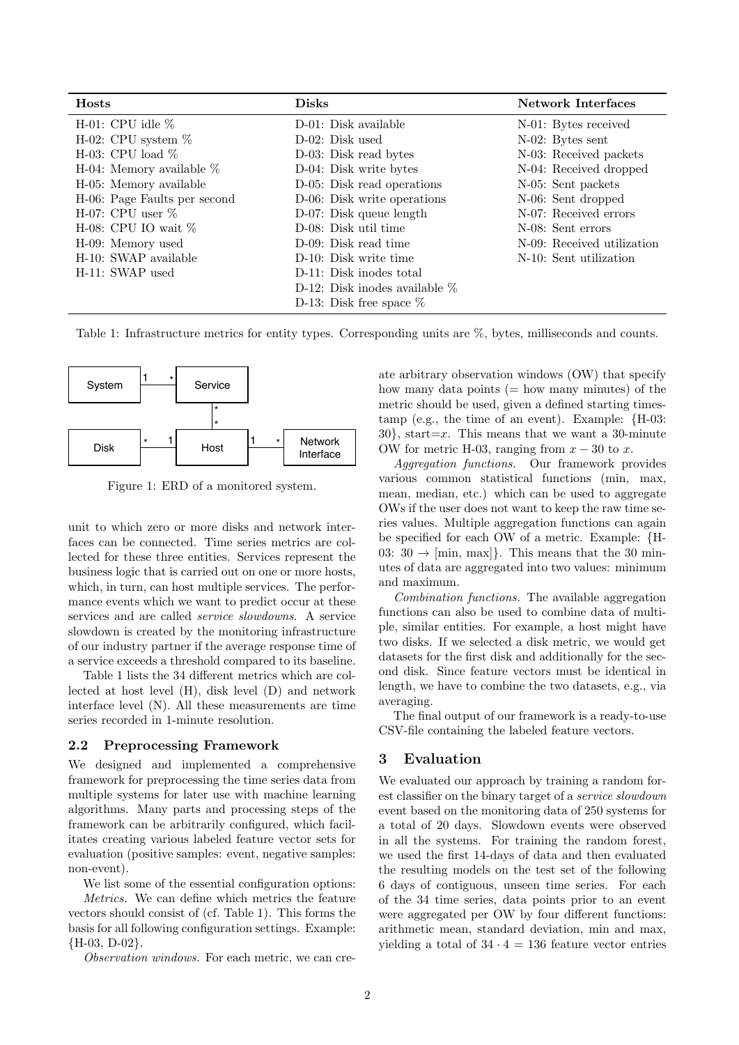<span id="page-1-1"></span>

| <b>Hosts</b>                 | <b>Disks</b>                      | <b>Network Interfaces</b>  |
|------------------------------|-----------------------------------|----------------------------|
| H-01: CPU idle $\%$          | D-01: Disk available              | N-01: Bytes received       |
| H-02: CPU system $\%$        | $D-02$ : Disk used                | N-02: Bytes sent           |
| H-03: CPU load $\%$          | D-03: Disk read bytes             | N-03: Received packets     |
| H-04: Memory available $\%$  | D-04: Disk write bytes            | N-04: Received dropped     |
| H-05: Memory available       | D-05: Disk read operations        | N-05: Sent packets         |
| H-06: Page Faults per second | D-06: Disk write operations       | N-06: Sent dropped         |
| H-07: CPU user $\%$          | D-07: Disk queue length           | N-07: Received errors      |
| H-08: CPU IO wait $\%$       | D-08: Disk util time              | N-08: Sent errors          |
| H-09: Memory used            | D-09: Disk read time              | N-09: Received utilization |
| H-10: SWAP available         | D-10: Disk write time             | N-10: Sent utilization     |
| H-11: SWAP used              | D-11: Disk inodes total           |                            |
|                              | D-12: Disk incodes available $\%$ |                            |
|                              | D-13: Disk free space $\%$        |                            |

Table 1: Infrastructure metrics for entity types. Corresponding units are %, bytes, milliseconds and counts.

<span id="page-1-0"></span>

Figure 1: ERD of a monitored system.

unit to which zero or more disks and network interfaces can be connected. Time series metrics are collected for these three entities. Services represent the business logic that is carried out on one or more hosts, which, in turn, can host multiple services. The performance events which we want to predict occur at these services and are called service slowdowns. A service slowdown is created by the monitoring infrastructure of our industry partner if the average response time of a service exceeds a threshold compared to its baseline.

Table [1](#page-1-1) lists the 34 different metrics which are collected at host level (H), disk level (D) and network interface level (N). All these measurements are time series recorded in 1-minute resolution.

#### 2.2 Preprocessing Framework

We designed and implemented a comprehensive framework for preprocessing the time series data from multiple systems for later use with machine learning algorithms. Many parts and processing steps of the framework can be arbitrarily configured, which facilitates creating various labeled feature vector sets for evaluation (positive samples: event, negative samples: non-event).

We list some of the essential configuration options:

Metrics. We can define which metrics the feature vectors should consist of (cf. Table [1\)](#page-1-1). This forms the basis for all following configuration settings. Example: {H-03, D-02}.

Observation windows. For each metric, we can cre-

ate arbitrary observation windows (OW) that specify how many data points  $(=$  how many minutes) of the metric should be used, given a defined starting timestamp (e.g., the time of an event). Example: {H-03:  $30$ , start=x. This means that we want a 30-minute OW for metric H-03, ranging from  $x - 30$  to x.

Aggregation functions. Our framework provides various common statistical functions (min, max, mean, median, etc.) which can be used to aggregate OWs if the user does not want to keep the raw time series values. Multiple aggregation functions can again be specified for each OW of a metric. Example: {H-03:  $30 \rightarrow$  [min, max]. This means that the 30 minutes of data are aggregated into two values: minimum and maximum.

Combination functions. The available aggregation functions can also be used to combine data of multiple, similar entities. For example, a host might have two disks. If we selected a disk metric, we would get datasets for the first disk and additionally for the second disk. Since feature vectors must be identical in length, we have to combine the two datasets, e.g., via averaging.

The final output of our framework is a ready-to-use CSV-file containing the labeled feature vectors.

## 3 Evaluation

We evaluated our approach by training a random forest classifier on the binary target of a service slowdown event based on the monitoring data of 250 systems for a total of 20 days. Slowdown events were observed in all the systems. For training the random forest, we used the first 14-days of data and then evaluated the resulting models on the test set of the following 6 days of contiguous, unseen time series. For each of the 34 time series, data points prior to an event were aggregated per OW by four different functions: arithmetic mean, standard deviation, min and max, yielding a total of  $34 \cdot 4 = 136$  feature vector entries